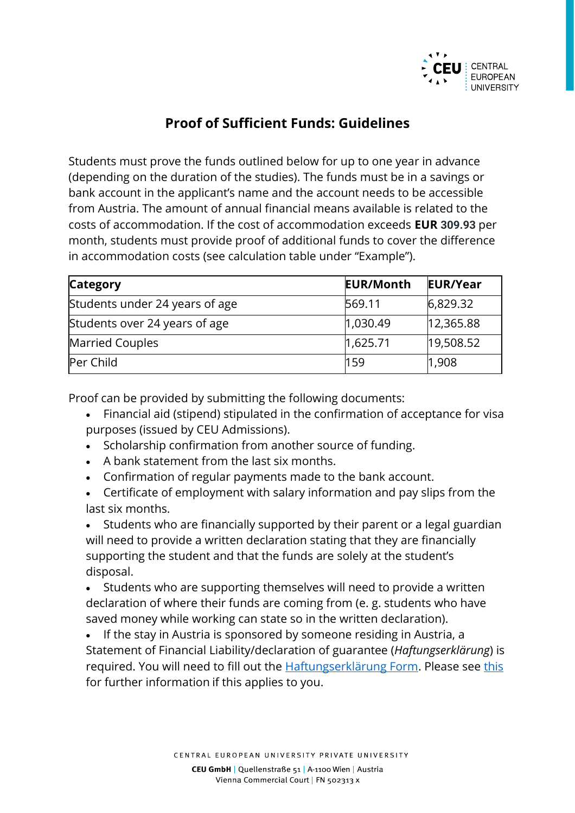

## **Proof of Sufficient Funds: Guidelines**

Students must prove the funds outlined below for up to one year in advance (depending on the duration of the studies). The funds must be in a savings or bank account in the applicant's name and the account needs to be accessible from Austria. The amount of annual financial means available is related to the costs of accommodation. If the cost of accommodation exceeds **EUR 309.93** per month, students must provide proof of additional funds to cover the difference in accommodation costs (see calculation table under "Example").

| <b>Category</b>                | <b>EUR/Month</b> | <b>EUR/Year</b> |
|--------------------------------|------------------|-----------------|
| Students under 24 years of age | 569.11           | 6,829.32        |
| Students over 24 years of age  | 1,030.49         | 12,365.88       |
| Married Couples                | 1,625.71         | 19,508.52       |
| Per Child                      | 159              | 1,908           |

Proof can be provided by submitting the following documents:

- Financial aid (stipend) stipulated in the confirmation of acceptance for visa purposes (issued by CEU Admissions).
- Scholarship confirmation from another source of funding.
- A bank statement from the last six months.
- Confirmation of regular payments made to the bank account.
- Certificate of employment with salary information and pay slips from the last six months.

• Students who are financially supported by their parent or a legal guardian will need to provide a written declaration stating that they are financially supporting the student and that the funds are solely at the student's disposal.

• Students who are supporting themselves will need to provide a written declaration of where their funds are coming from (e. g. students who have saved money while working can state so in the written declaration).

• If the stay in Austria is sponsored by someone residing in Austria, a Statement of Financial Liability/declaration of guarantee (*Haftungserklärung*) is required. You will need to fill out the [Haftungserklärung Form.](https://oead.at/fileadmin/Dokumente/oead.at/KIM/Nach_Oesterreich/Einreise_und_Aufenthalt/Haftungserklaerung____2_Abs_1_Z_15_NAG.pdf) Please see [this](https://oead.at/en/to-austria/entry-and-residence/residence-permit-student-no-mobility-programme#c23922) for further information if this applies to you.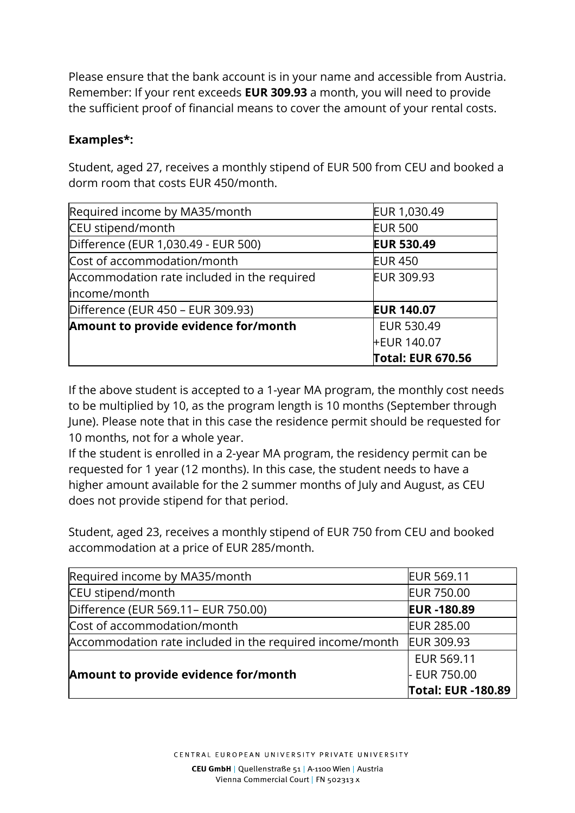Please ensure that the bank account is in your name and accessible from Austria. Remember: If your rent exceeds **EUR 309.93** a month, you will need to provide the sufficient proof of financial means to cover the amount of your rental costs.

## **Examples\*:**

Student, aged 27, receives a monthly stipend of EUR 500 from CEU and booked a dorm room that costs EUR 450/month.

| Required income by MA35/month               | EUR 1,030.49             |
|---------------------------------------------|--------------------------|
| CEU stipend/month                           | <b>EUR 500</b>           |
| Difference (EUR 1,030.49 - EUR 500)         | <b>EUR 530.49</b>        |
| Cost of accommodation/month                 | <b>EUR 450</b>           |
| Accommodation rate included in the required | EUR 309.93               |
| income/month                                |                          |
| Difference (EUR 450 - EUR 309.93)           | <b>EUR 140.07</b>        |
| Amount to provide evidence for/month        | EUR 530.49               |
|                                             | <b>FEUR 140.07</b>       |
|                                             | <b>Total: EUR 670.56</b> |

If the above student is accepted to a 1-year MA program, the monthly cost needs to be multiplied by 10, as the program length is 10 months (September through June). Please note that in this case the residence permit should be requested for 10 months, not for a whole year.

If the student is enrolled in a 2-year MA program, the residency permit can be requested for 1 year (12 months). In this case, the student needs to have a higher amount available for the 2 summer months of July and August, as CEU does not provide stipend for that period.

Student, aged 23, receives a monthly stipend of EUR 750 from CEU and booked accommodation at a price of EUR 285/month.

| Required income by MA35/month                            | <b>EUR 569.11</b>  |
|----------------------------------------------------------|--------------------|
| CEU stipend/month                                        | <b>EUR 750.00</b>  |
| Difference (EUR 569.11 - EUR 750.00)                     | <b>EUR-180.89</b>  |
| Cost of accommodation/month                              | <b>EUR 285.00</b>  |
| Accommodation rate included in the required income/month | <b>EUR 309.93</b>  |
|                                                          | EUR 569.11         |
| Amount to provide evidence for/month                     | - EUR 750.00       |
|                                                          | Total: EUR -180.89 |